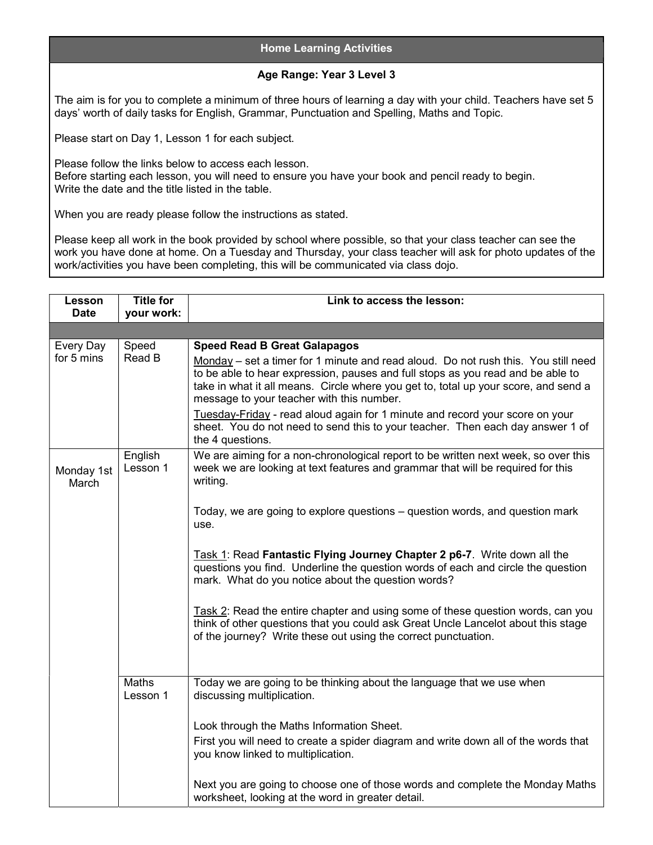## Home Learning Activities

## Age Range: Year 3 Level 3

The aim is for you to complete a minimum of three hours of learning a day with your child. Teachers have set 5 days' worth of daily tasks for English, Grammar, Punctuation and Spelling, Maths and Topic.

Please start on Day 1, Lesson 1 for each subject.

Please follow the links below to access each lesson. Before starting each lesson, you will need to ensure you have your book and pencil ready to begin. Write the date and the title listed in the table.

When you are ready please follow the instructions as stated.

Please keep all work in the book provided by school where possible, so that your class teacher can see the work you have done at home. On a Tuesday and Thursday, your class teacher will ask for photo updates of the work/activities you have been completing, this will be communicated via class dojo.

| Lesson<br><b>Date</b>   | <b>Title for</b><br>your work: | Link to access the lesson:                                                                                                                                                                                                                                                                                                                                                                                                                                                                                                             |
|-------------------------|--------------------------------|----------------------------------------------------------------------------------------------------------------------------------------------------------------------------------------------------------------------------------------------------------------------------------------------------------------------------------------------------------------------------------------------------------------------------------------------------------------------------------------------------------------------------------------|
|                         |                                |                                                                                                                                                                                                                                                                                                                                                                                                                                                                                                                                        |
|                         |                                |                                                                                                                                                                                                                                                                                                                                                                                                                                                                                                                                        |
| Every Day<br>for 5 mins | Speed<br>Read B                | <b>Speed Read B Great Galapagos</b><br>Monday – set a timer for 1 minute and read aloud. Do not rush this. You still need<br>to be able to hear expression, pauses and full stops as you read and be able to<br>take in what it all means. Circle where you get to, total up your score, and send a<br>message to your teacher with this number.<br>Tuesday-Friday - read aloud again for 1 minute and record your score on your<br>sheet. You do not need to send this to your teacher. Then each day answer 1 of<br>the 4 questions. |
| Monday 1st<br>March     | English<br>Lesson 1            | We are aiming for a non-chronological report to be written next week, so over this<br>week we are looking at text features and grammar that will be required for this<br>writing.                                                                                                                                                                                                                                                                                                                                                      |
|                         |                                | Today, we are going to explore questions – question words, and question mark<br>use.                                                                                                                                                                                                                                                                                                                                                                                                                                                   |
|                         |                                | Task 1: Read Fantastic Flying Journey Chapter 2 p6-7. Write down all the<br>questions you find. Underline the question words of each and circle the question<br>mark. What do you notice about the question words?                                                                                                                                                                                                                                                                                                                     |
|                         |                                | Task 2: Read the entire chapter and using some of these question words, can you<br>think of other questions that you could ask Great Uncle Lancelot about this stage<br>of the journey? Write these out using the correct punctuation.                                                                                                                                                                                                                                                                                                 |
|                         | <b>Maths</b><br>Lesson 1       | Today we are going to be thinking about the language that we use when<br>discussing multiplication.                                                                                                                                                                                                                                                                                                                                                                                                                                    |
|                         |                                | Look through the Maths Information Sheet.                                                                                                                                                                                                                                                                                                                                                                                                                                                                                              |
|                         |                                | First you will need to create a spider diagram and write down all of the words that<br>you know linked to multiplication.                                                                                                                                                                                                                                                                                                                                                                                                              |
|                         |                                | Next you are going to choose one of those words and complete the Monday Maths<br>worksheet, looking at the word in greater detail.                                                                                                                                                                                                                                                                                                                                                                                                     |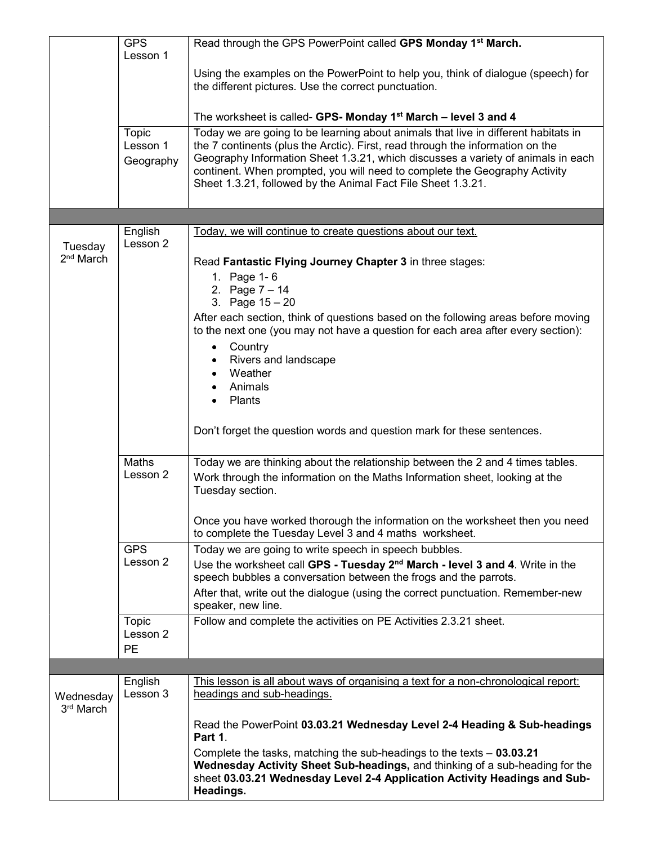|                       | <b>GPS</b>          | Read through the GPS PowerPoint called GPS Monday 1 <sup>st</sup> March.                                                                                             |
|-----------------------|---------------------|----------------------------------------------------------------------------------------------------------------------------------------------------------------------|
|                       | Lesson 1            |                                                                                                                                                                      |
|                       |                     | Using the examples on the PowerPoint to help you, think of dialogue (speech) for<br>the different pictures. Use the correct punctuation.                             |
|                       |                     | The worksheet is called- GPS- Monday 1 <sup>st</sup> March - level 3 and 4                                                                                           |
|                       | Topic<br>Lesson 1   | Today we are going to be learning about animals that live in different habitats in<br>the 7 continents (plus the Arctic). First, read through the information on the |
|                       | Geography           | Geography Information Sheet 1.3.21, which discusses a variety of animals in each                                                                                     |
|                       |                     | continent. When prompted, you will need to complete the Geography Activity<br>Sheet 1.3.21, followed by the Animal Fact File Sheet 1.3.21.                           |
|                       |                     |                                                                                                                                                                      |
| Tuesday               | English<br>Lesson 2 | Today, we will continue to create questions about our text.                                                                                                          |
| 2 <sup>nd</sup> March |                     | Read Fantastic Flying Journey Chapter 3 in three stages:                                                                                                             |
|                       |                     | 1. Page 1-6                                                                                                                                                          |
|                       |                     | 2. Page $7 - 14$<br>3. Page $15 - 20$                                                                                                                                |
|                       |                     | After each section, think of questions based on the following areas before moving                                                                                    |
|                       |                     | to the next one (you may not have a question for each area after every section):                                                                                     |
|                       |                     | Country<br>$\bullet$<br>Rivers and landscape                                                                                                                         |
|                       |                     | Weather                                                                                                                                                              |
|                       |                     | Animals                                                                                                                                                              |
|                       |                     | Plants                                                                                                                                                               |
|                       |                     | Don't forget the question words and question mark for these sentences.                                                                                               |
|                       | Maths               | Today we are thinking about the relationship between the 2 and 4 times tables.                                                                                       |
|                       | Lesson 2            | Work through the information on the Maths Information sheet, looking at the<br>Tuesday section.                                                                      |
|                       |                     | Once you have worked thorough the information on the worksheet then you need<br>to complete the Tuesday Level 3 and 4 maths worksheet.                               |
|                       | <b>GPS</b>          | Today we are going to write speech in speech bubbles.                                                                                                                |
|                       | Lesson 2            | Use the worksheet call GPS - Tuesday 2 <sup>nd</sup> March - level 3 and 4. Write in the<br>speech bubbles a conversation between the frogs and the parrots.         |
|                       |                     | After that, write out the dialogue (using the correct punctuation. Remember-new                                                                                      |
|                       |                     | speaker, new line.                                                                                                                                                   |
|                       | Topic<br>Lesson 2   | Follow and complete the activities on PE Activities 2.3.21 sheet.                                                                                                    |
|                       | <b>PE</b>           |                                                                                                                                                                      |
|                       |                     |                                                                                                                                                                      |
| Wednesday             | English<br>Lesson 3 | This lesson is all about ways of organising a text for a non-chronological report:<br>headings and sub-headings.                                                     |
| 3rd March             |                     | Read the PowerPoint 03.03.21 Wednesday Level 2-4 Heading & Sub-headings                                                                                              |
|                       |                     | Part 1.                                                                                                                                                              |
|                       |                     | Complete the tasks, matching the sub-headings to the texts $-$ 03.03.21<br>Wednesday Activity Sheet Sub-headings, and thinking of a sub-heading for the              |
|                       |                     | sheet 03.03.21 Wednesday Level 2-4 Application Activity Headings and Sub-<br>Headings.                                                                               |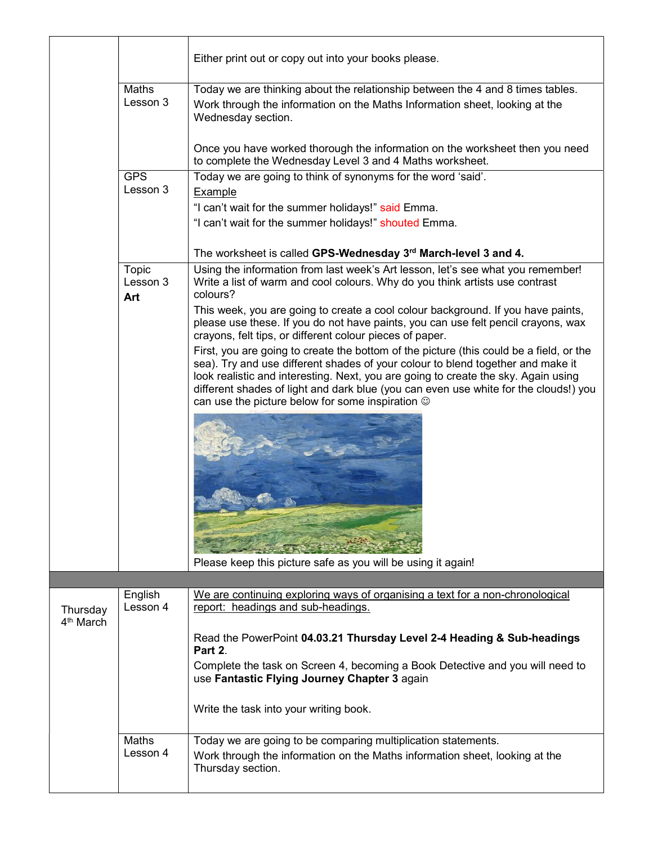|                                   |                          | Either print out or copy out into your books please.                                                                                                                                                                                                                                                                                                                                                               |
|-----------------------------------|--------------------------|--------------------------------------------------------------------------------------------------------------------------------------------------------------------------------------------------------------------------------------------------------------------------------------------------------------------------------------------------------------------------------------------------------------------|
|                                   | Maths<br>Lesson 3        | Today we are thinking about the relationship between the 4 and 8 times tables.<br>Work through the information on the Maths Information sheet, looking at the<br>Wednesday section.                                                                                                                                                                                                                                |
|                                   |                          | Once you have worked thorough the information on the worksheet then you need<br>to complete the Wednesday Level 3 and 4 Maths worksheet.                                                                                                                                                                                                                                                                           |
|                                   | <b>GPS</b><br>Lesson 3   | Today we are going to think of synonyms for the word 'said'.<br>Example<br>"I can't wait for the summer holidays!" said Emma.                                                                                                                                                                                                                                                                                      |
|                                   |                          | "I can't wait for the summer holidays!" shouted Emma.                                                                                                                                                                                                                                                                                                                                                              |
|                                   |                          | The worksheet is called GPS-Wednesday 3rd March-level 3 and 4.                                                                                                                                                                                                                                                                                                                                                     |
|                                   | Topic<br>Lesson 3<br>Art | Using the information from last week's Art lesson, let's see what you remember!<br>Write a list of warm and cool colours. Why do you think artists use contrast<br>colours?                                                                                                                                                                                                                                        |
|                                   |                          | This week, you are going to create a cool colour background. If you have paints,<br>please use these. If you do not have paints, you can use felt pencil crayons, wax<br>crayons, felt tips, or different colour pieces of paper.                                                                                                                                                                                  |
|                                   |                          | First, you are going to create the bottom of the picture (this could be a field, or the<br>sea). Try and use different shades of your colour to blend together and make it<br>look realistic and interesting. Next, you are going to create the sky. Again using<br>different shades of light and dark blue (you can even use white for the clouds!) you<br>can use the picture below for some inspiration $\odot$ |
|                                   |                          |                                                                                                                                                                                                                                                                                                                                                                                                                    |
|                                   |                          |                                                                                                                                                                                                                                                                                                                                                                                                                    |
|                                   |                          | Please keep this picture safe as you will be using it again!                                                                                                                                                                                                                                                                                                                                                       |
|                                   |                          |                                                                                                                                                                                                                                                                                                                                                                                                                    |
| Thursday<br>4 <sup>th</sup> March | English<br>Lesson 4      | We are continuing exploring ways of organising a text for a non-chronological<br>report: headings and sub-headings.                                                                                                                                                                                                                                                                                                |
|                                   |                          | Read the PowerPoint 04.03.21 Thursday Level 2-4 Heading & Sub-headings<br>Part 2.                                                                                                                                                                                                                                                                                                                                  |
|                                   |                          | Complete the task on Screen 4, becoming a Book Detective and you will need to<br>use Fantastic Flying Journey Chapter 3 again                                                                                                                                                                                                                                                                                      |
|                                   |                          | Write the task into your writing book.                                                                                                                                                                                                                                                                                                                                                                             |
|                                   | <b>Maths</b><br>Lesson 4 | Today we are going to be comparing multiplication statements.<br>Work through the information on the Maths information sheet, looking at the<br>Thursday section.                                                                                                                                                                                                                                                  |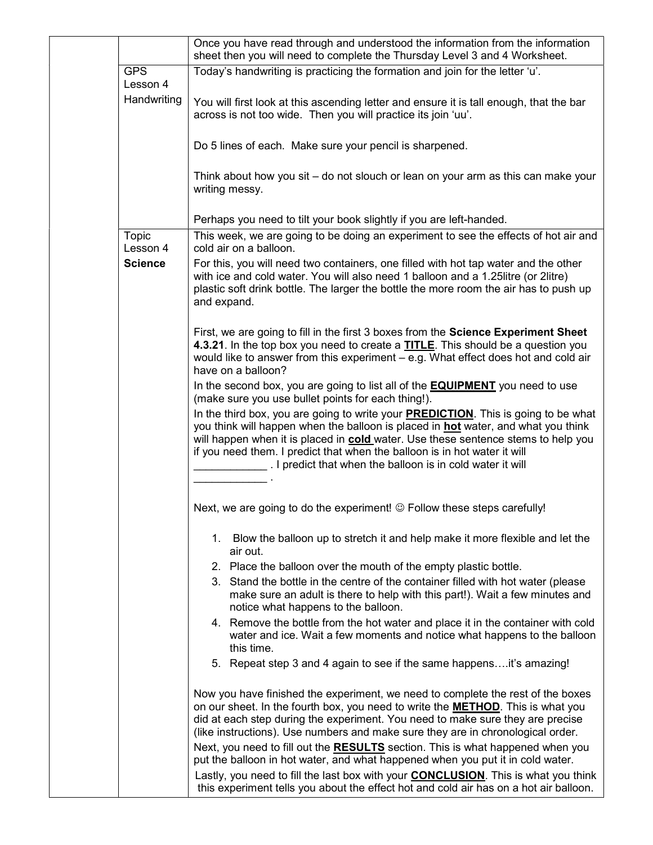|                        | Once you have read through and understood the information from the information<br>sheet then you will need to complete the Thursday Level 3 and 4 Worksheet.                                                                                                                                                                                                                                                           |
|------------------------|------------------------------------------------------------------------------------------------------------------------------------------------------------------------------------------------------------------------------------------------------------------------------------------------------------------------------------------------------------------------------------------------------------------------|
| <b>GPS</b><br>Lesson 4 | Today's handwriting is practicing the formation and join for the letter 'u'.                                                                                                                                                                                                                                                                                                                                           |
| Handwriting            | You will first look at this ascending letter and ensure it is tall enough, that the bar<br>across is not too wide. Then you will practice its join 'uu'.                                                                                                                                                                                                                                                               |
|                        | Do 5 lines of each. Make sure your pencil is sharpened.                                                                                                                                                                                                                                                                                                                                                                |
|                        | Think about how you sit - do not slouch or lean on your arm as this can make your<br>writing messy.                                                                                                                                                                                                                                                                                                                    |
|                        | Perhaps you need to tilt your book slightly if you are left-handed.                                                                                                                                                                                                                                                                                                                                                    |
| Topic<br>Lesson 4      | This week, we are going to be doing an experiment to see the effects of hot air and<br>cold air on a balloon.                                                                                                                                                                                                                                                                                                          |
| <b>Science</b>         | For this, you will need two containers, one filled with hot tap water and the other<br>with ice and cold water. You will also need 1 balloon and a 1.25 litre (or 2litre)<br>plastic soft drink bottle. The larger the bottle the more room the air has to push up<br>and expand.                                                                                                                                      |
|                        | First, we are going to fill in the first 3 boxes from the Science Experiment Sheet<br>4.3.21. In the top box you need to create a TITLE. This should be a question you<br>would like to answer from this experiment - e.g. What effect does hot and cold air<br>have on a balloon?                                                                                                                                     |
|                        | In the second box, you are going to list all of the <b>EQUIPMENT</b> you need to use<br>(make sure you use bullet points for each thing!).                                                                                                                                                                                                                                                                             |
|                        | In the third box, you are going to write your <b>PREDICTION</b> . This is going to be what<br>you think will happen when the balloon is placed in <b>hot</b> water, and what you think<br>will happen when it is placed in cold water. Use these sentence stems to help you<br>if you need them. I predict that when the balloon is in hot water it will<br>. I predict that when the balloon is in cold water it will |
|                        |                                                                                                                                                                                                                                                                                                                                                                                                                        |
|                        | Next, we are going to do the experiment! © Follow these steps carefully!                                                                                                                                                                                                                                                                                                                                               |
|                        | Blow the balloon up to stretch it and help make it more flexible and let the<br>1.<br>air out.                                                                                                                                                                                                                                                                                                                         |
|                        | 2. Place the balloon over the mouth of the empty plastic bottle.                                                                                                                                                                                                                                                                                                                                                       |
|                        | 3. Stand the bottle in the centre of the container filled with hot water (please<br>make sure an adult is there to help with this part!). Wait a few minutes and<br>notice what happens to the balloon.                                                                                                                                                                                                                |
|                        | 4. Remove the bottle from the hot water and place it in the container with cold<br>water and ice. Wait a few moments and notice what happens to the balloon<br>this time.                                                                                                                                                                                                                                              |
|                        | 5. Repeat step 3 and 4 again to see if the same happensit's amazing!                                                                                                                                                                                                                                                                                                                                                   |
|                        | Now you have finished the experiment, we need to complete the rest of the boxes<br>on our sheet. In the fourth box, you need to write the <b>METHOD</b> . This is what you<br>did at each step during the experiment. You need to make sure they are precise<br>(like instructions). Use numbers and make sure they are in chronological order.                                                                        |
|                        | Next, you need to fill out the RESULTS section. This is what happened when you<br>put the balloon in hot water, and what happened when you put it in cold water.                                                                                                                                                                                                                                                       |
|                        | Lastly, you need to fill the last box with your <b>CONCLUSION</b> . This is what you think<br>this experiment tells you about the effect hot and cold air has on a hot air balloon.                                                                                                                                                                                                                                    |